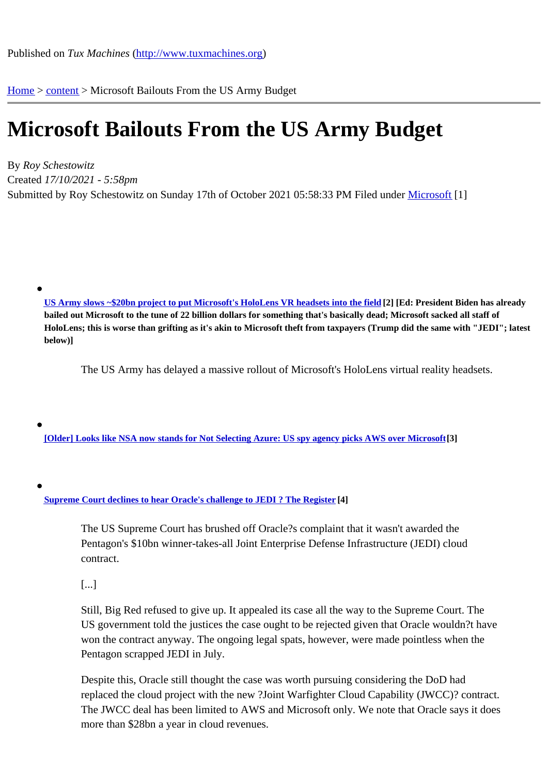Home > content > Microsoft [Bailouts From the US Arm](http://www.tuxmachines.org)y Budget

## [Mic](http://www.tuxmachines.org/)[roso](http://www.tuxmachines.org/node)ft Bailouts From the US Army Budget

By Roy Schestowitz Created 17/10/2021 - 5:58pm Submitted by Roy Schestowitz on Sunday 17th of October 2021 05:58: 33 @ Munder Microsoft [1]

US Army slows ~\$20bn project to put Microsoft's HoloLens VR headsets into the fiel<sup>[2]</sup> [Ed: President Biden has already bailed out Microsoft to the tune of 22 billion dollars for something that's basically dead; Microsoft sacked all staff of HoloLens; this is worse than grifting as it's akin to Microsoft theft from taxpayers (Trump did the same with "JEDI"; latest [below\)\]](https://www.theregister.com/2021/10/15/us_army_delays_microsoft_ivas_vr_project/)

The US Army has delayed a massive rollout of Microsoft's HoloLens virtual reality headsets.

[Older] Looks like NSA now stands for Not Selecting Azure: US spy agency picks AWS over Micros<sup>3</sup>

Supreme Court declines to hear Oracle's challenge to JEDI ? The Register

The US Supreme Court has brushed off Oracle?s complaint that it wasn't awarded the [Pentagon's \\$10bn winner-takes-all Joint Enterprise D](https://www.theregister.com/2021/10/04/supreme_oracle_jedi/)efense Infrastructure (JEDI) cloud contract.

[...]

Still, Big Red refused to give up. It appealed its case all the way to the Supreme Court. The US government told the justices the case ought to be rejected given that Oracle wouldn?t have won the contract anyway. The ongoing legal spats, however, were made pointless when the Pentagon scrapped JEDI in July.

Despite this, Oracle still thought the case was worth pursuing considering the DoD had replaced the cloud project with the new ?Joint Warfighter Cloud Capability (JWCC)? contract. The JWCC deal has been limited to AWS and Microsoft only. We note that Oracle says it does more than \$28bn a year in cloud revenues.